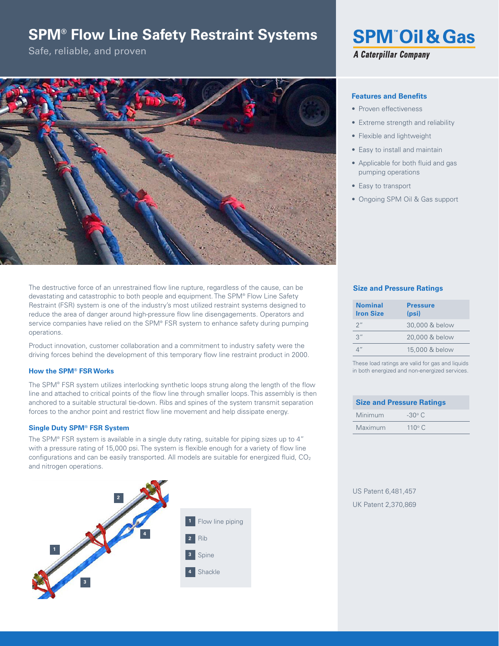# **SPM® Flow Line Safety Restraint Systems**

Safe, reliable, and proven



The destructive force of an unrestrained flow line rupture, regardless of the cause, can be devastating and catastrophic to both people and equipment. The SPM® Flow Line Safety Restraint (FSR) system is one of the industry's most utilized restraint systems designed to reduce the area of danger around high-pressure flow line disengagements. Operators and service companies have relied on the SPM® FSR system to enhance safety during pumping operations.

Product innovation, customer collaboration and a commitment to industry safety were the driving forces behind the development of this temporary flow line restraint product in 2000.

### **How the SPM® FSR Works**

The SPM® FSR system utilizes interlocking synthetic loops strung along the length of the flow line and attached to critical points of the flow line through smaller loops. This assembly is then anchored to a suitable structural tie-down. Ribs and spines of the system transmit separation forces to the anchor point and restrict flow line movement and help dissipate energy.

## **Single Duty SPM® FSR System**

The SPM® FSR system is available in a single duty rating, suitable for piping sizes up to 4" with a pressure rating of 15,000 psi. The system is flexible enough for a variety of flow line configurations and can be easily transported. All models are suitable for energized fluid, CO<sub>2</sub> and nitrogen operations.





## **Features and Benefits**

- Proven effectiveness
- Extreme strength and reliability
- Flexible and lightweight
- Easy to install and maintain
- Applicable for both fluid and gas pumping operations
- Easy to transport
- Ongoing SPM Oil & Gas support

# **Size and Pressure Ratings**

| <b>Nominal</b><br><b>Iron Size</b> | <b>Pressure</b><br>(psi) |
|------------------------------------|--------------------------|
| $2$ "                              | 30,000 & below           |
| 3''                                | 20,000 & below           |
|                                    | 15,000 & below           |

These load ratings are valid for gas and liquids in both energized and non-energized services.

| <b>Size and Pressure Ratings</b> |               |  |
|----------------------------------|---------------|--|
| Minimum                          | $-30^\circ$ C |  |
| Maximum                          | $110^\circ C$ |  |

US Patent 6,481,457 UK Patent 2,370,869